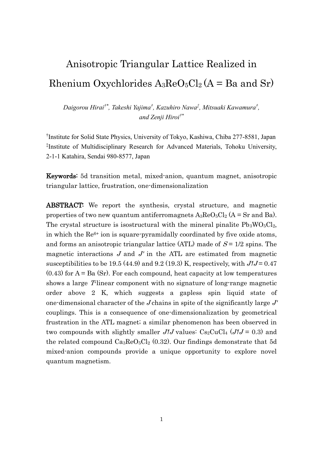# Anisotropic Triangular Lattice Realized in Rhenium Oxychlorides  $A_3$ ReO<sub>5</sub>Cl<sub>2</sub> (A = Ba and Sr)

*Daigorou Hirai†\*, Takeshi Yajima† , Kazuhiro Nawa‡ , Mitsuaki Kawamura† , and Zenji Hiroi†\**

† Institute for Solid State Physics, University of Tokyo, Kashiwa, Chiba 277-8581, Japan ‡ Institute of Multidisciplinary Research for Advanced Materials, Tohoku University, 2-1-1 Katahira, Sendai 980-8577, Japan

Keywords: 5d transition metal, mixed-anion, quantum magnet, anisotropic triangular lattice, frustration, one-dimensionalization

ABSTRACT: We report the synthesis, crystal structure, and magnetic properties of two new quantum antiferromagnets  $A_3 \text{Re}O_5 \text{Cl}_2$  (A = Sr and Ba). The crystal structure is isostructural with the mineral pinalite  $Pb_3WO_5Cl_2$ , in which the Re6+ ion is square-pyramidally coordinated by five oxide atoms, and forms an anisotropic triangular lattice (ATL) made of  $S = 1/2$  spins. The magnetic interactions  $J$  and  $J'$  in the ATL are estimated from magnetic susceptibilities to be 19.5 (44.9) and 9.2 (19.3) K, respectively, with  $J/J = 0.47$  $(0.43)$  for  $A = Ba(Sr)$ . For each compound, heat capacity at low temperatures shows a large  $T$ -linear component with no signature of long-range magnetic order above 2 K, which suggests a gapless spin liquid state of one-dimensional character of the J chains in spite of the significantly large  $J'$ couplings. This is a consequence of one-dimensionalization by geometrical frustration in the ATL magnet; a similar phenomenon has been observed in two compounds with slightly smaller  $J/J$  values:  $Cs_2CuCl_4$  ( $J/J = 0.3$ ) and the related compound  $Ca_3\text{Re}O_5\text{Cl}_2$  (0.32). Our findings demonstrate that 5d mixed-anion compounds provide a unique opportunity to explore novel quantum magnetism.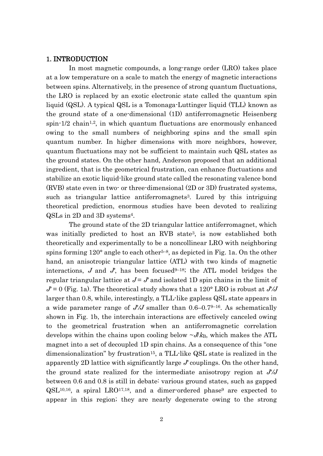#### 1. INTRODUCTION

In most magnetic compounds, a long-range order (LRO) takes place at a low temperature on a scale to match the energy of magnetic interactions between spins. Alternatively, in the presence of strong quantum fluctuations, the LRO is replaced by an exotic electronic state called the quantum spin liquid (QSL). A typical QSL is a Tomonaga-Luttinger liquid (TLL) known as the ground state of a one-dimensional (1D) antiferromagnetic Heisenberg spin- $1/2$  chain<sup>1,2</sup>, in which quantum fluctuations are enormously enhanced owing to the small numbers of neighboring spins and the small spin quantum number. In higher dimensions with more neighbors, however, quantum fluctuations may not be sufficient to maintain such QSL states as the ground states. On the other hand, Anderson proposed that an additional ingredient, that is the geometrical frustration, can enhance fluctuations and stabilize an exotic liquid-like ground state called the resonating valence bond (RVB) state even in two- or three-dimensional (2D or 3D) frustrated systems, such as triangular lattice antiferromagnets <sup>3</sup>. Lured by this intriguing theoretical prediction, enormous studies have been devoted to realizing QSLs in 2D and 3D systems4.

The ground state of the 2D triangular lattice antiferromagnet, which was initially predicted to host an RVB state<sup>3</sup>, is now established both theoretically and experimentally to be a noncollinear LRO with neighboring spins forming  $120^{\circ}$  angle to each other<sup>5-8</sup>, as depicted in Fig. 1a. On the other hand, an anisotropic triangular lattice (ATL) with two kinds of magnetic interactions,  $J$  and  $J'$ , has been focused<sup>9-18</sup>; the ATL model bridges the regular triangular lattice at  $J = J'$  and isolated 1D spin chains in the limit of  $J = 0$  (Fig. 1a). The theoretical study shows that a 120° LRO is robust at  $J/J$ larger than 0.8, while, interestingly, a TLL-like gapless QSL state appears in a wide parameter range of J*ʹ*/J smaller than 0.6–0.79–16. As schematically shown in Fig. 1b, the interchain interactions are effectively canceled owing to the geometrical frustration when an antiferromagnetic correlation develops within the chains upon cooling below  $\nu J/k_B$ , which makes the ATL magnet into a set of decoupled 1D spin chains. As a consequence of this "one dimensionalization" by frustration<sup>15</sup>, a TLL-like QSL state is realized in the apparently 2D lattice with significantly large J*ʹ* couplings. On the other hand, the ground state realized for the intermediate anisotropy region at J*ʹ*/J between 0.6 and 0.8 is still in debate: various ground states, such as gapped  $QSL<sup>10,16</sup>$ , a spiral LRO<sup>17,18</sup>, and a dimer-ordered phase<sup>9</sup> are expected to appear in this region; they are nearly degenerate owing to the strong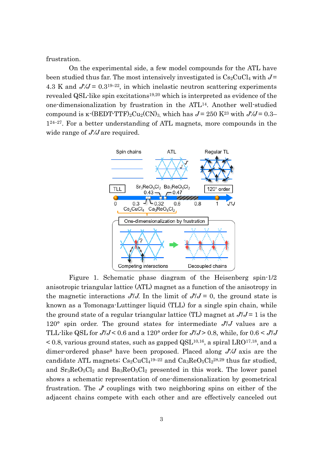frustration.

On the experimental side, a few model compounds for the ATL have been studied thus far. The most intensively investigated is  $Cs<sub>2</sub>CuCl<sub>4</sub>$  with  $J=$ 4.3 K and  $J/J = 0.3^{19-22}$ , in which inelastic neutron scattering experiments revealed QSL-like spin excitations<sup>19,20</sup> which is interpreted as evidence of the one-dimensionalization by frustration in the ATL14. Another well-studied compound is  $\kappa$ -(BEDT-TTF)<sub>2</sub>Cu<sub>2</sub>(CN)<sub>3</sub>, which has  $J = 250$  K<sup>23</sup> with  $J/J = 0.3-$ 124–27. For a better understanding of ATL magnets, more compounds in the wide range of J*ʹ*/J are required.



Figure 1. Schematic phase diagram of the Heisenberg spin-1/2 anisotropic triangular lattice (ATL) magnet as a function of the anisotropy in the magnetic interactions  $J^{\prime}/J$ . In the limit of  $J^{\prime}/J = 0$ , the ground state is known as a Tomonaga-Luttinger liquid (TLL) for a single spin chain, while the ground state of a regular triangular lattice (TL) magnet at  $J/J = 1$  is the 120° spin order. The ground states for intermediate J*ʹ*/J values are a TLL-like QSL for J*ʹ*/J < 0.6 and a 120° order for J*ʹ*/J > 0.8, while, for 0.6 < J*ʹ*/J  $< 0.8$ , various ground states, such as gapped QSL<sup>10,16</sup>, a spiral LRO<sup>17,18</sup>, and a dimer-ordered phase<sup>9</sup> have been proposed. Placed along J*ʹ*/J axis are the candidate ATL magnets;  $Cs_2CuCl<sub>4</sub>$ <sup>19-22</sup> and  $Ca<sub>3</sub>ReO<sub>5</sub>Cl<sub>2</sub>$ <sup>28,29</sup> thus far studied, and  $Sr<sub>3</sub>ReO<sub>5</sub>Cl<sub>2</sub>$  and  $Ba<sub>3</sub>ReO<sub>5</sub>Cl<sub>2</sub>$  presented in this work. The lower panel shows a schematic representation of one-dimensionalization by geometrical frustration. The J*ʹ* couplings with two neighboring spins on either of the adjacent chains compete with each other and are effectively canceled out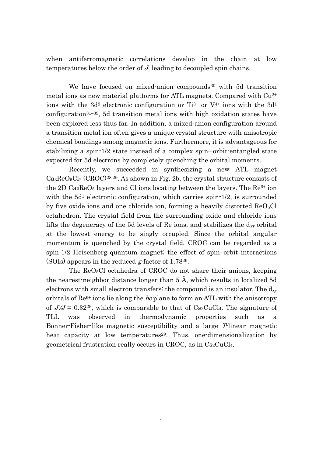when antiferromagnetic correlations develop in the chain at low temperatures below the order of J, leading to decoupled spin chains.

We have focused on mixed-anion compounds<sup>30</sup> with 5d transition metal ions as new material platforms for ATL magnets. Compared with Cu2+ ions with the  $3d^9$  electronic configuration or Ti<sup>3+</sup> or V<sup>4+</sup> ions with the  $3d^1$ configuration31–39, 5d transition metal ions with high oxidation states have been explored less thus far. In addition, a mixed-anion configuration around a transition metal ion often gives a unique crystal structure with anisotropic chemical bondings among magnetic ions. Furthermore, it is advantageous for stabilizing a spin-1/2 state instead of a complex spin–orbit-entangled state expected for 5d electrons by completely quenching the orbital moments.

Recently, we succeeded in synthesizing a new ATL magnet  $Ca_3ReO_5Cl_2$  (CROC)<sup>28,29</sup>. As shown in Fig. 2b, the crystal structure consists of the 2D  $Ca<sub>3</sub>ReO<sub>5</sub>$  layers and Cl ions locating between the layers. The  $Re<sup>6+</sup>$  ion with the  $5d<sup>1</sup>$  electronic configuration, which carries spin-1/2, is surrounded by five oxide ions and one chloride ion, forming a heavily distorted  $ReO<sub>5</sub>Cl$ octahedron. The crystal field from the surrounding oxide and chloride ions lifts the degeneracy of the 5d levels of Re ions, and stabilizes the  $d_{xy}$  orbital at the lowest energy to be singly occupied. Since the orbital angular momentum is quenched by the crystal field, CROC can be regarded as a spin-1/2 Heisenberg quantum magnet; the effect of spin–orbit interactions (SOIs) appears in the reduced  $g$ -factor of 1.78<sup>29</sup>.

The ReO<sub>5</sub>Cl octahedra of CROC do not share their anions, keeping the nearest-neighbor distance longer than 5 Å, which results in localized 5d electrons with small electron transfers; the compound is an insulator. The  $d_{xy}$ orbitals of  $\text{Re}^{6+}$  ions lie along the *bc* plane to form an ATL with the anisotropy of  $J/J = 0.32^{29}$ , which is comparable to that of  $Cs_2CuCl_4$ . The signature of TLL was observed in thermodynamic properties such as a Bonner-Fisher-like magnetic susceptibility and a large T-linear magnetic heat capacity at low temperatures<sup>29</sup>. Thus, one-dimensionalization by geometrical frustration really occurs in CROC, as in  $Cs<sub>2</sub>CuCl<sub>4</sub>$ .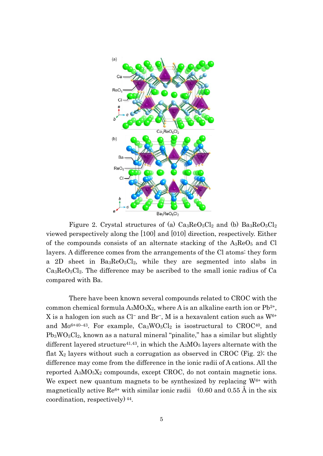

Figure 2. Crystal structures of (a)  $Ca_3\text{Re}O_5\text{Cl}_2$  and (b)  $Ba_3\text{Re}O_5\text{Cl}_2$ viewed perspectively along the [100] and [010] direction, respectively. Either of the compounds consists of an alternate stacking of the  $A_3$ Re $O_5$  and Cl layers. A difference comes from the arrangements of the Cl atoms: they form a 2D sheet in Ba3ReO5Cl2, while they are segmented into slabs in  $Ca<sub>3</sub>ReO<sub>5</sub>Cl<sub>2</sub>$ . The difference may be ascribed to the small ionic radius of Ca compared with Ba.

There have been known several compounds related to CROC with the common chemical formula  $A_3MO_5X_2$ , where A is an alkaline earth ion or  $Pb^{2+}$ , X is a halogen ion such as Cl<sup>−</sup> and Br−, M is a hexavalent cation such as W6+ and  $Mo^{6+40-43}$ . For example,  $Ca_3WO_5Cl_2$  is isostructural to  $CROC^{40}$ , and  $Pb_3WO_5Cl_2$ , known as a natural mineral "pinalite," has a similar but slightly different layered structure<sup>41,43</sup>, in which the  $A_3MO_5$  layers alternate with the flat  $X_2$  layers without such a corrugation as observed in CROC (Fig. 2); the difference may come from the difference in the ionic radii of A cations. All the reported  $A_3MO_5X_2$  compounds, except CROC, do not contain magnetic ions. We expect new quantum magnets to be synthesized by replacing  $W^{6+}$  with magnetically active Re<sup>6+</sup> with similar ionic radii  $(0.60$  and  $0.55 \text{ Å}$  in the six coordination, respectively) 44.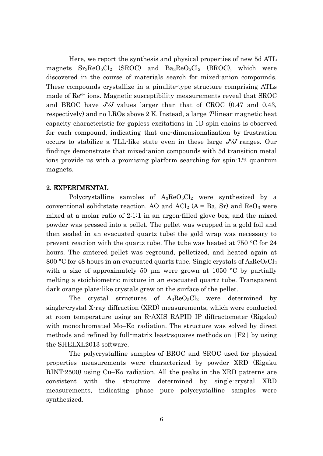Here, we report the synthesis and physical properties of new 5d ATL magnets  $Sr_3ReO_5Cl_2$  (SROC) and  $Ba_3ReO_5Cl_2$  (BROC), which were discovered in the course of materials search for mixed-anion compounds. These compounds crystallize in a pinalite-type structure comprising ATLs made of Re<sup>6+</sup> ions. Magnetic susceptibility measurements reveal that SROC and BROC have J*ʹ*/J values larger than that of CROC (0.47 and 0.43, respectively) and no LROs above 2 K. Instead, a large T-linear magnetic heat capacity characteristic for gapless excitations in 1D spin chains is observed for each compound, indicating that one-dimensionalization by frustration occurs to stabilize a TLL-like state even in these large J*ʹ*/J ranges. Our findings demonstrate that mixed-anion compounds with 5d transition metal ions provide us with a promising platform searching for spin-1/2 quantum magnets.

## 2. EXPERIMENTAL

Polycrystalline samples of A<sub>3</sub>ReO<sub>5</sub>Cl<sub>2</sub> were synthesized by a conventional solid-state reaction. AO and  $ACl_2$  (A = Ba, Sr) and  $ReO_3$  were mixed at a molar ratio of 2:1:1 in an argon-filled glove box, and the mixed powder was pressed into a pellet. The pellet was wrapped in a gold foil and then sealed in an evacuated quartz tube; the gold wrap was necessary to prevent reaction with the quartz tube. The tube was heated at 750 °C for 24 hours. The sintered pellet was reground, pelletized, and heated again at 800 °C for 48 hours in an evacuated quartz tube. Single crystals of  $A_3ReO_5Cl_2$ with a size of approximately 50  $\mu$ m were grown at 1050 °C by partially melting a stoichiometric mixture in an evacuated quartz tube. Transparent dark orange plate-like crystals grew on the surface of the pellet.

The crystal structures of  $A_3 \text{Re}O_5Cl_2$  were determined by single-crystal X-ray diffraction (XRD) measurements, which were conducted at room temperature using an R-AXIS RAPID IP diffractometer (Rigaku) with monochromated Mo–Kα radiation. The structure was solved by direct methods and refined by full-matrix least-squares methods on |F2| by using the SHELXL2013 software.

The polycrystalline samples of BROC and SROC used for physical properties measurements were characterized by powder XRD (Rigaku RINT-2500) using Cu–Kα radiation. All the peaks in the XRD patterns are consistent with the structure determined by single-crystal XRD measurements, indicating phase pure polycrystalline samples were synthesized.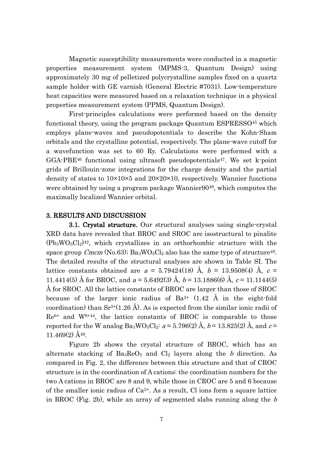Magnetic susceptibility measurements were conducted in a magnetic properties measurement system (MPMS-3, Quantum Design) using approximately 30 mg of pelletized polycrystalline samples fixed on a quartz sample holder with GE varnish (General Electric #7031). Low-temperature heat capacities were measured based on a relaxation technique in a physical properties measurement system (PPMS, Quantum Design).

First-principles calculations were performed based on the density functional theory, using the program package Quantum ESPRESSO<sup>45</sup> which employs plane-waves and pseudopotentials to describe the Kohn-Sham orbitals and the crystalline potential, respectively. The plane-wave cutoff for a wavefunction was set to 60 Ry. Calculations were performed with a  $GGA-PBE<sup>46</sup>$  functional using ultrasoft pseudopotentials<sup>47</sup>. We set k-point grids of Brillouin-zone integrations for the charge density and the partial density of states to 10×10×5 and 20×20×10, respectively. Wannier functions were obtained by using a program package Wannier9048, which computes the maximally localized Wannier orbital.

## 3. RESULTS AND DISCUSSION

3.1. Crystal structure. Our structural analyses using single-crystal XRD data have revealed that BROC and SROC are isostructural to pinalite  $(Pb_3WO_5Cl_2)^{42}$ , which crystallizes in an orthorhombic structure with the space group Cmcm (No.63);  $Ba_3WO_5Cl_2$  also has the same type of structure<sup>49</sup>. The detailed results of the structural analyses are shown in Table SI. The lattice constants obtained are  $a = 5.79424(18)$  Å,  $b = 13.9508(4)$  Å,  $c =$ 11.4414(5) Å for BROC, and  $a = 5.6492(3)$  Å,  $b = 13.1886(6)$  Å,  $c = 11.1144(5)$ Å for SROC. All the lattice constants of BROC are larger than those of SROC because of the larger ionic radius of  $Ba^{2+}$  (1.42 Å in the eight-fold coordination) than  $Sr^{2+}(1.26 \text{ Å})$ . As is expected from the similar ionic radii of  $Re^{6+}$  and  $W^{6+44}$ , the lattice constants of BROC is comparable to those reported for the W analog  $Ba_3WO_5Cl_2$ :  $a = 5.796(2)$  Å,  $b = 13.825(2)$  Å, and  $c =$ 11.469(2) Å49.

Figure 2b shows the crystal structure of BROC, which has an alternate stacking of  $Ba_3ReO_5$  and  $Cl_2$  layers along the b direction. As compared in Fig. 2, the difference between this structure and that of CROC structure is in the coordination of A cations: the coordination numbers for the two A cations in BROC are 8 and 9, while those in CROC are 5 and 6 because of the smaller ionic radius of  $Ca^{2+}$ . As a result, Cl ions form a square lattice in BROC (Fig. 2b), while an array of segmented slabs running along the b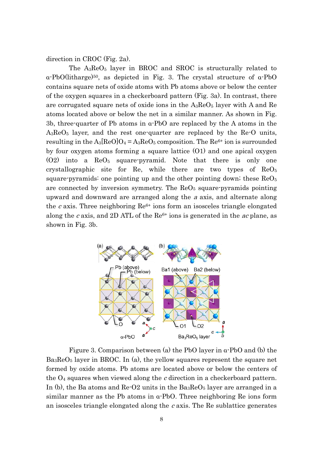direction in CROC (Fig. 2a).

The  $A_3$ Re $O_5$  layer in BROC and SROC is structurally related to α-PbO(litharge)50, as depicted in Fig. 3. The crystal structure of α-PbO contains square nets of oxide atoms with Pb atoms above or below the center of the oxygen squares in a checkerboard pattern (Fig. 3a). In contrast, there are corrugated square nets of oxide ions in the  $A_3$ Re $O_5$  layer with A and Re atoms located above or below the net in a similar manner. As shown in Fig. 3b, three-quarter of Pb atoms in α-PbO are replaced by the A atoms in the A3ReO<sup>5</sup> layer, and the rest one-quarter are replaced by the Re-O units, resulting in the  $A_3$ [ReO]O<sub>4</sub> =  $A_3$ ReO<sub>5</sub> composition. The Re<sup>6+</sup> ion is surrounded by four oxygen atoms forming a square lattice (O1) and one apical oxygen  $(02)$  into a  $\text{Re}0_5$  square-pyramid. Note that there is only one crystallographic site for Re, while there are two types of ReO<sup>5</sup> square-pyramids: one pointing up and the other pointing down; these  $\text{Re}O_5$ are connected by inversion symmetry. The  $\text{Re}O<sub>5</sub>$  square-pyramids pointing upward and downward are arranged along the <sup>a</sup> axis, and alternate along the c axis. Three neighboring  $\text{Re}^{6+}$  ions form an isosceles triangle elongated along the c axis, and 2D ATL of the  $\text{Re}^{6+}$  ions is generated in the *ac* plane, as shown in Fig. 3b.



Figure 3. Comparison between (a) the PbO layer in α-PbO and (b) the  $Ba<sub>3</sub>ReO<sub>5</sub>$  layer in BROC. In (a), the yellow squares represent the square net formed by oxide atoms. Pb atoms are located above or below the centers of the  $O_4$  squares when viewed along the c direction in a checkerboard pattern. In (b), the Ba atoms and  $ReO2$  units in the  $Ba_3ReO_5$  layer are arranged in a similar manner as the Pb atoms in α-PbO. Three neighboring Re ions form an isosceles triangle elongated along the  $c$  axis. The Re sublattice generates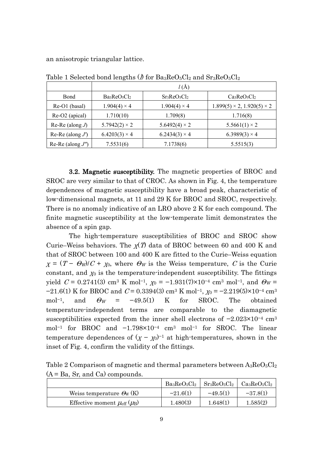an anisotropic triangular lattice.

|                      | ັ                    |                      |                                           |  |
|----------------------|----------------------|----------------------|-------------------------------------------|--|
|                      | l(A)                 |                      |                                           |  |
| <b>B</b> ond         | $Ba3ReO5Cl2$         | $Sr_3ReO_5Cl_2$      | $Ca3ReO5Cl2$                              |  |
| Re-O1 (basal)        | $1.904(4) \times 4$  | $1.904(4) \times 4$  | $1.899(5) \times 2$ , $1.920(5) \times 2$ |  |
| Re-O2 (apical)       | 1.710(10)            | 1.709(8)             | 1.716(8)                                  |  |
| Re-Re (along $J$ )   | $5.7942(2) \times 2$ | $5.6492(4) \times 2$ | $5.5661(1) \times 2$                      |  |
| Re-Re (along $J'$ )  | $6.4203(3) \times 4$ | $6.2434(3) \times 4$ | $6.3989(3) \times 4$                      |  |
| Re-Re (along $J''$ ) | 7.5531(6)            | 7.1738(6)            | 5.5515(3)                                 |  |

Table 1 Selected bond lengths ( $\hat{\rho}$  for Ba<sub>3</sub>ReO<sub>5</sub>Cl<sub>2</sub> and Sr<sub>3</sub>ReO<sub>5</sub>Cl<sub>2</sub>

3.2. Magnetic susceptibility. The magnetic properties of BROC and SROC are very similar to that of CROC. As shown in Fig. 4, the temperature dependences of magnetic susceptibility have a broad peak, characteristic of low-dimensional magnets, at 11 and 29 K for BROC and SROC, respectively. There is no anomaly indicative of an LRO above 2 K for each compound. The finite magnetic susceptibility at the low-temperate limit demonstrates the absence of a spin gap.

The high-temperature susceptibilities of BROC and SROC show Curie–Weiss behaviors. The  $\chi(T)$  data of BROC between 60 and 400 K and that of SROC between 100 and 400 K are fitted to the Curie–Weiss equation  $\chi = (T - \Theta_W)/C + \chi_0$ , where  $\Theta_W$  is the Weiss temperature, C is the Curie constant, and  $\chi_0$  is the temperature-independent susceptibility. The fittings yield  $C = 0.2741(3)$  cm<sup>3</sup> K mol<sup>-1</sup>,  $\chi_0 = -1.931(7) \times 10^{-4}$  cm<sup>3</sup> mol<sup>-1</sup>, and  $\Theta_W =$ −21.6(1) K for BROC and  $C = 0.3394(3)$  cm<sup>3</sup> K mol<sup>-1</sup>,  $\chi_0 = -2.219(5) \times 10^{-4}$  cm<sup>3</sup> mol<sup>-1</sup>, and  $\Theta_W = -49.5(1)$  K for SROC. The obtained temperature-independent terms are comparable to the diamagnetic susceptibilities expected from the inner shell electrons of −2.023×10−<sup>4</sup> cm<sup>3</sup> mol−<sup>1</sup> for BROC and −1.798×10−<sup>4</sup> cm<sup>3</sup> mol−<sup>1</sup> for SROC. The linear temperature dependences of  $(\chi - \chi_0)^{-1}$  at high-temperatures, shown in the inset of Fig. 4, confirm the validity of the fittings.

Table 2 Comparison of magnetic and thermal parameters between  $A_3ReO_5Cl_2$  $(A = Ba, Sr, and Ca)$  compounds.

|                                               | $Ba_3ReO_5Cl_2$ | $\rm Sr_3ReO_5Cl_2$ | $Ca_3ReO_5Cl_2$ |
|-----------------------------------------------|-----------------|---------------------|-----------------|
| Weiss temperature $\mathcal{O}_W(K)$          | $-21.6(1)$      | $-49.5(1)$          | $-37.8(1)$      |
| Effective moment $\mu_{\rm eff}(\mu_{\rm B})$ | 1.480(3)        | 1.648(1)            | 1.585(2)        |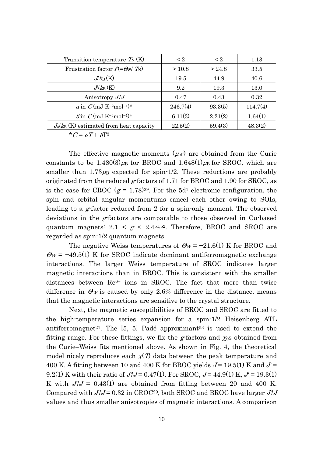| Transition temperature $T_N(K)$                         | $\leq 2$ | $\leq 2$ | 1.13     |
|---------------------------------------------------------|----------|----------|----------|
| Frustration factor $f(=\Theta_W/T_N)$                   | >10.8    | > 24.8   | 33.5     |
| $J/k_B(K)$                                              | 19.5     | 44.9     | 40.6     |
| $J/k_B(K)$                                              | 9.2      | 19.3     | 13.0     |
| Anisotropy $J'J$                                        | 0.47     | 0.43     | 0.32     |
| a in $C$ (mJ K <sup>-2</sup> mol <sup>-1</sup> )*       | 246.7(4) | 93.3(5)  | 114.7(4) |
| $\beta$ in $C$ (mJ K <sup>-4</sup> mol <sup>-1</sup> )* | 6.11(3)  | 2.21(2)  | 1.64(1)  |
| $J_d/k_B$ (K) estimated from heat capacity              | 22.5(2)  | 59.4(3)  | 48.3(2)  |

\* $C = \sigma T + \beta T^3$ 

The effective magnetic moments  $(\mu_{\text{eff}})$  are obtained from the Curie constants to be 1.480(3) $\mu$ <sub>B</sub> for BROC and 1.648(1) $\mu$ <sub>B</sub> for SROC, which are smaller than  $1.73\mu$ <sub>B</sub> expected for spin-1/2. These reductions are probably originated from the reduced g-factors of 1.71 for BROC and 1.90 for SROC, as is the case for CROC  $(g = 1.78)^{29}$ . For the 5d<sup>1</sup> electronic configuration, the spin and orbital angular momentums cancel each other owing to SOIs, leading to a g-factor reduced from 2 for a spin-only moment. The observed deviations in the g-factors are comparable to those observed in Cu-based quantum magnets:  $2.1 < g < 2.4^{51,52}$ . Therefore, BROC and SROC are regarded as spin-1/2 quantum magnets.

The negative Weiss temperatures of  $\Theta_W = -21.6(1)$  K for BROC and  $\Theta_W$  = -49.5(1) K for SROC indicate dominant antiferromagnetic exchange interactions. The larger Weiss temperature of SROC indicates larger magnetic interactions than in BROC. This is consistent with the smaller distances between Re<sup>6+</sup> ions in SROC. The fact that more than twice difference in  $\Theta_W$  is caused by only 2.6% difference in the distance, means that the magnetic interactions are sensitive to the crystal structure.

Next, the magnetic susceptibilities of BROC and SROC are fitted to the high-temperature series expansion for a spin-1/2 Heisenberg ATL antiferromagnet<sup>21</sup>. The [5, 5] Padé approximant<sup>53</sup> is used to extend the fitting range. For these fittings, we fix the g-factors and  $\chi_{0}$ s obtained from the Curie–Weiss fits mentioned above. As shown in Fig. 4, the theoretical model nicely reproduces each  $\chi(T)$  data between the peak temperature and 400 K. A fitting between 10 and 400 K for BROC yields  $J = 19.5(1)$  K and  $J' =$ 9.2(1) K with their ratio of  $J/J = 0.47(1)$ . For SROC,  $J = 44.9(1)$  K,  $J' = 19.3(1)$ K with  $J/J = 0.43(1)$  are obtained from fitting between 20 and 400 K. Compared with  $J'J = 0.32$  in CROC<sup>29</sup>, both SROC and BROC have larger  $J'J$ values and thus smaller anisotropies of magnetic interactions. A comparison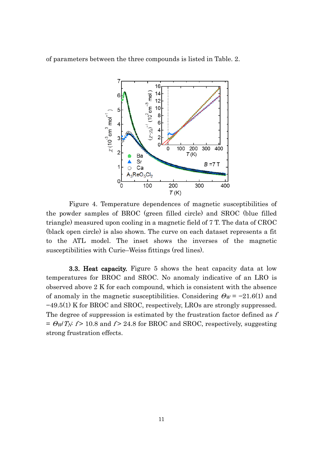of parameters between the three compounds is listed in Table. 2.



Figure 4. Temperature dependences of magnetic susceptibilities of the powder samples of BROC (green filled circle) and SROC (blue filled triangle) measured upon cooling in a magnetic field of 7 T. The data of CROC (black open circle) is also shown. The curve on each dataset represents a fit to the ATL model. The inset shows the inverses of the magnetic susceptibilities with Curie–Weiss fittings (red lines).

3.3. Heat capacity. Figure 5 shows the heat capacity data at low temperatures for BROC and SROC. No anomaly indicative of an LRO is observed above 2 K for each compound, which is consistent with the absence of anomaly in the magnetic susceptibilities. Considering  $\Theta_W = -21.6(1)$  and −49.5(1) K for BROC and SROC, respectively, LROs are strongly suppressed. The degree of suppression is estimated by the frustration factor defined as f  $= \Theta_W T_N$ : f > 10.8 and f > 24.8 for BROC and SROC, respectively, suggesting strong frustration effects.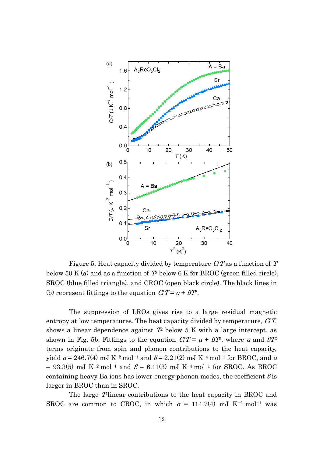

Figure 5. Heat capacity divided by temperature  $CT$  as a function of T below 50 K (a) and as a function of  $T^2$  below 6 K for BROC (green filled circle), SROC (blue filled triangle), and CROC (open black circle). The black lines in (b) represent fittings to the equation  $CT = \alpha + BT$ .

The suppression of LROs gives rise to a large residual magnetic entropy at low temperatures. The heat capacity divided by temperature,  $CT$ , shows a linear dependence against  $T<sup>2</sup>$  below 5 K with a large intercept, as shown in Fig. 5b. Fittings to the equation  $CT = \alpha + BT$ , where  $\alpha$  and  $BT$ terms originate from spin and phonon contributions to the heat capacity, yield  $\alpha$  = 246.7(4) mJ K<sup>-2</sup> mol<sup>-1</sup> and  $\beta$  = 2.21(2) mJ K<sup>-4</sup> mol<sup>-1</sup> for BROC, and  $\alpha$ = 93.3(5) mJ K<sup>-2</sup> mol<sup>-1</sup> and  $\beta$  = 6.11(3) mJ K<sup>-4</sup> mol<sup>-1</sup> for SROC. As BROC containing heavy Ba ions has lower-energy phonon modes, the coefficient  $\beta$  is larger in BROC than in SROC.

The large T-linear contributions to the heat capacity in BROC and SROC are common to CROC, in which  $\alpha = 114.7(4)$  mJ K<sup>-2</sup> mol<sup>-1</sup> was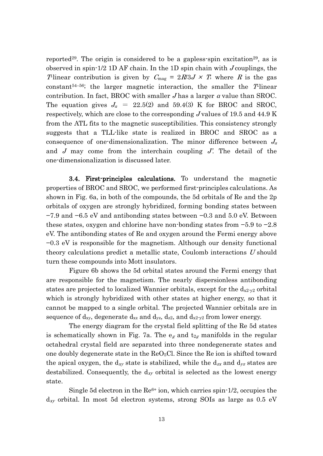reported<sup>29</sup>. The origin is considered to be a gapless spin excitation<sup>29</sup>, as is observed in spin-1/2 1D AF chain. In the 1D spin chain with J couplings, the The ar contribution is given by  $C_{\text{mag}} = 2R/3J \times T$ , where R is the gas constant<sup>54–56</sup>; the larger magnetic interaction, the smaller the  $T$ -linear contribution. In fact, BROC with smaller  $J$  has a larger  $\alpha$  value than SROC. The equation gives  $J_a = 22.5(2)$  and 59.4(3) K for BROC and SROC, respectively, which are close to the corresponding J values of 19.5 and 44.9 K from the ATL fits to the magnetic susceptibilities. This consistency strongly suggests that a TLL-like state is realized in BROC and SROC as a consequence of one-dimensionalization. The minor difference between  $J_a$ and  $J$  may come from the interchain coupling  $J'$ . The detail of the one-dimensionalization is discussed later.

3.4. First-principles calculations. To understand the magnetic properties of BROC and SROC, we performed first-principles calculations. As shown in Fig. 6a, in both of the compounds, the 5d orbitals of Re and the 2p orbitals of oxygen are strongly hybridized, forming bonding states between −7.9 and −6.5 eV and antibonding states between −0.3 and 5.0 eV. Between these states, oxygen and chlorine have non-bonding states from −5.9 to −2.8 eV. The antibonding states of Re and oxygen around the Fermi energy above −0.3 eV is responsible for the magnetism. Although our density functional theory calculations predict a metallic state, Coulomb interactions U should turn these compounds into Mott insulators.

Figure 6b shows the 5d orbital states around the Fermi energy that are responsible for the magnetism. The nearly dispersionless antibonding states are projected to localized Wannier orbitals, except for the  $d_{x2-y2}$  orbital which is strongly hybridized with other states at higher energy, so that it cannot be mapped to a single orbital. The projected Wannier orbitals are in sequence of  $d_{xy}$ , degenerate  $d_{xz}$  and  $d_{yz}$ ,  $d_{z2}$ , and  $d_{x2-y2}$  from lower energy.

The energy diagram for the crystal field splitting of the Re 5d states is schematically shown in Fig. 7a. The  $e_g$  and  $t_{2g}$  manifolds in the regular octahedral crystal field are separated into three nondegenerate states and one doubly degenerate state in the  $ReO<sub>5</sub>Cl$ . Since the Re ion is shifted toward the apical oxygen, the d<sub>xy</sub> state is stabilized, while the d<sub>zx</sub> and d<sub>yz</sub> states are destabilized. Consequently, the  $d_{xy}$  orbital is selected as the lowest energy state.

Single 5d electron in the  $\text{Re}^{6+}$  ion, which carries spin-1/2, occupies the  $d_{xy}$  orbital. In most 5d electron systems, strong SOIs as large as 0.5 eV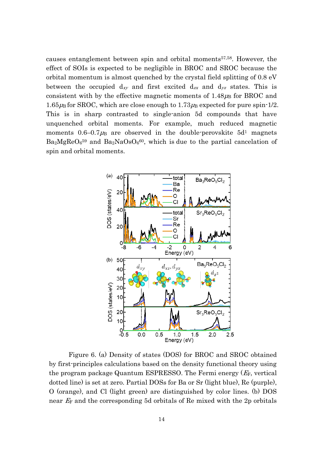causes entanglement between spin and orbital moments 57,58. However, the effect of SOIs is expected to be negligible in BROC and SROC because the orbital momentum is almost quenched by the crystal field splitting of 0.8 eV between the occupied  $d_{xy}$  and first excited  $d_{zx}$  and  $d_{yz}$  states. This is consistent with by the effective magnetic moments of  $1.48 \mu_{\rm B}$  for BROC and  $1.65\mu$ B for SROC, which are close enough to  $1.73\mu$ B expected for pure spin-1/2. This is in sharp contrasted to single-anion 5d compounds that have unquenched orbital moments. For example, much reduced magnetic moments  $0.6-0.7\mu$ B are observed in the double-perovskite  $5d<sup>1</sup>$  magnets  $Ba<sub>2</sub>MgReO<sub>6</sub>^{59}$  and  $Ba<sub>2</sub>NaOsO<sub>6</sub>^{60}$ , which is due to the partial cancelation of spin and orbital moments.



Figure 6. (a) Density of states (DOS) for BROC and SROC obtained by first-principles calculations based on the density functional theory using the program package Quantum ESPRESSO. The Fermi energy  $(E_F,$  vertical dotted line) is set at zero. Partial DOSs for Ba or Sr (light blue), Re (purple), O (orange), and Cl (light green) are distinguished by color lines. (b) DOS near  $E_F$  and the corresponding 5d orbitals of Re mixed with the 2p orbitals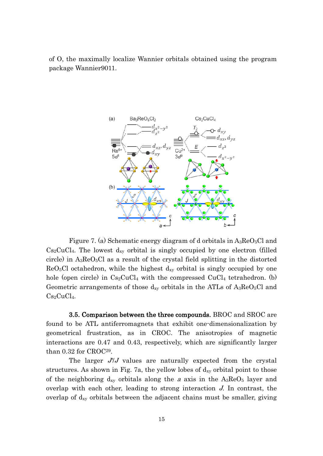of O, the maximally localize Wannier orbitals obtained using the program package Wannier9011.



Figure 7. (a) Schematic energy diagram of d orbitals in  $A_3$ Re $O_5$ Cl and  $Cs<sub>2</sub>CuCl<sub>4</sub>$ . The lowest  $d_{xy}$  orbital is singly occupied by one electron (filled circle) in  $A_3$ ReO<sub>5</sub>Cl as a result of the crystal field splitting in the distorted  $ReO<sub>5</sub>Cl$  octahedron, while the highest  $d_{xy}$  orbital is singly occupied by one hole (open circle) in  $Cs_2CuCl_4$  with the compressed  $CuCl_4$  tetrahedron. (b) Geometric arrangements of those  $d_{xy}$  orbitals in the ATLs of  $A_3$ ReO<sub>5</sub>Cl and  $Cs<sub>2</sub>CuCl<sub>4</sub>$ .

3.5. Comparison between the three compounds. BROC and SROC are found to be ATL antiferromagnets that exhibit one-dimensionalization by geometrical frustration, as in CROC. The anisotropies of magnetic interactions are 0.47 and 0.43, respectively, which are significantly larger than 0.32 for CROC29.

The larger J*ʹ*/J values are naturally expected from the crystal structures. As shown in Fig. 7a, the yellow lobes of  $d_{xy}$  orbital point to those of the neighboring  $d_{xy}$  orbitals along the a axis in the  $A_3 \text{Re}O_5$  layer and overlap with each other, leading to strong interaction J. In contrast, the overlap of dxy orbitals between the adjacent chains must be smaller, giving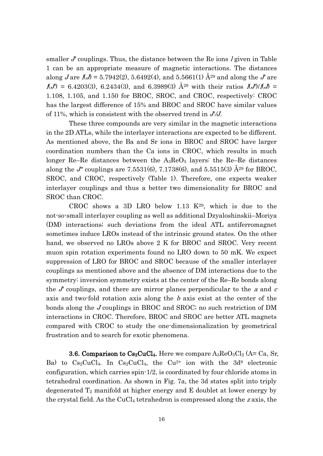smaller  $J$  couplings. Thus, the distance between the Re ions  $I$  given in Table 1 can be an appropriate measure of magnetic interactions. The distances along *J* are  $\hat{\mathcal{A}}$  = 5.7942(2), 5.6492(4), and 5.5661(1)  $\hat{A}^{29}$  and along the *J'* are  $I(J) = 6.4203(3), 6.2434(3),$  and 6.3989(3)  $\AA^{29}$  with their ratios  $I(J)/I(J) =$ 1.108, 1.105, and 1.150 for BROC, SROC, and CROC, respectively: CROC has the largest difference of 15% and BROC and SROC have similar values of 11%, which is consistent with the observed trend in J*ʹ*/J.

These three compounds are very similar in the magnetic interactions in the 2D ATLs, while the interlayer interactions are expected to be different. As mentioned above, the Ba and Sr ions in BROC and SROC have larger coordination numbers than the Ca ions in CROC, which results in much longer Re–Re distances between the  $A_3$ ReO<sub>5</sub> layers: the Re–Re distances along the J<sup>*n*</sup> couplings are 7.5531(6), 7.1738(6), and 5.5515(3)  $\AA^{29}$  for BROC, SROC, and CROC, respectively (Table 1). Therefore, one expects weaker interlayer couplings and thus a better two dimensionality for BROC and SROC than CROC.

CROC shows a 3D LRO below 1.13 K29, which is due to the not-so-small interlayer coupling as well as additional Dzyaloshinskii–Moriya (DM) interactions; such deviations from the ideal ATL antiferromagnet sometimes induce LROs instead of the intrinsic ground states. On the other hand, we observed no LROs above 2 K for BROC and SROC. Very recent muon spin rotation experiments found no LRO down to 50 mK. We expect suppression of LRO for BROC and SROC because of the smaller interlayer couplings as mentioned above and the absence of DM interactions due to the symmetry: inversion symmetry exists at the center of the Re–Re bonds along the  $J$  couplings, and there are mirror planes perpendicular to the  $a$  and  $c$ axis and two-fold rotation axis along the b axis exist at the center of the bonds along the J couplings in BROC and SROC; no such restriction of DM interactions in CROC. Therefore, BROC and SROC are better ATL magnets compared with CROC to study the one-dimensionalization by geometrical frustration and to search for exotic phenomena.

**3.6. Comparison to Cs<sub>2</sub>CuCl<sub>4</sub>.** Here we compare  $A_3$ Re $O_5$ Cl<sub>2</sub> (A= Ca, Sr, Ba) to  $Cs_2CuCl_4$ . In  $Cs_2CuCl_4$ , the  $Cu^{2+}$  ion with the  $3d^9$  electronic configuration, which carries spin-1/2, is coordinated by four chloride atoms in tetrahedral coordination. As shown in Fig. 7a, the 3d states split into triply degenerated  $T_2$  manifold at higher energy and E doublet at lower energy by the crystal field. As the  $CuCl<sub>4</sub>$  tetrahedron is compressed along the z axis, the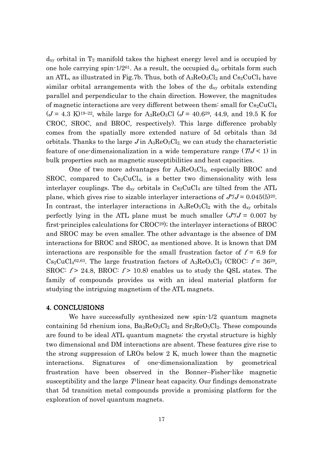$d_{xy}$  orbital in  $T_2$  manifold takes the highest energy level and is occupied by one hole carrying spin- $1/2^{61}$ . As a result, the occupied  $d_{xy}$  orbitals form such an ATL, as illustrated in Fig.7b. Thus, both of  $A_3\text{Re}O_5Cl_2$  and  $Cs_2CuCl_4$  have similar orbital arrangements with the lobes of the  $d_{xy}$  orbitals extending parallel and perpendicular to the chain direction. However, the magnitudes of magnetic interactions are very different between them: small for  $Cs_2CuCl<sub>4</sub>$  $(J = 4.3 \text{ K})^{19-22}$ , while large for A<sub>3</sub>ReO<sub>5</sub>Cl  $(J = 40.6^{29}, 44.9, \text{ and } 19.5 \text{ K}$  for CROC, SROC, and BROC, respectively). This large difference probably comes from the spatially more extended nature of 5d orbitals than 3d orbitals. Thanks to the large  $J$  in  $A_3$ ReO<sub>5</sub>Cl<sub>2</sub>, we can study the characteristic feature of one-dimensionalization in a wide temperature range  $(TJ < 1)$  in bulk properties such as magnetic susceptibilities and heat capacities.

One of two more advantages for  $A_3\text{Re}O_5\text{Cl}_2$ , especially BROC and SROC, compared to  $Cs<sub>2</sub>CuCl<sub>4</sub>$ , is a better two dimensionality with less interlayer couplings. The  $d_{xy}$  orbitals in  $Cs_2CuCl_4$  are tilted from the ATL plane, which gives rise to sizable interlayer interactions of  $J''/J = 0.045(5)^{20}$ . In contrast, the interlayer interactions in  $A_3$ Re $O_5Cl_2$  with the d<sub>xy</sub> orbitals perfectly lying in the ATL plane must be much smaller  $(J''/J = 0.007$  by first-principles calculations for CROC29); the interlayer interactions of BROC and SROC may be even smaller. The other advantage is the absence of DM interactions for BROC and SROC, as mentioned above. It is known that DM interactions are responsible for the small frustration factor of  $f = 6.9$  for  $Cs_2CuCl<sub>4</sub>62,63$ . The large frustration factors of A<sub>3</sub>ReO<sub>5</sub>Cl<sub>2</sub> (CROC:  $f = 36^{29}$ , SROC:  $f > 24.8$ , BROC:  $f > 10.8$ ) enables us to study the QSL states. The family of compounds provides us with an ideal material platform for studying the intriguing magnetism of the ATL magnets.

## 4. CONCLUSIONS

We have successfully synthesized new spin-1/2 quantum magnets containing 5d rhenium ions,  $Ba_3ReO_5Cl_2$  and  $Sr_3ReO_5Cl_2$ . These compounds are found to be ideal ATL quantum magnets: the crystal structure is highly two dimensional and DM interactions are absent. These features give rise to the strong suppression of LROs below 2 K, much lower than the magnetic interactions. Signatures of one-dimensionalization by geometrical frustration have been observed in the Bonner–Fisher-like magnetic susceptibility and the large  $T$ linear heat capacity. Our findings demonstrate that 5d transition metal compounds provide a promising platform for the exploration of novel quantum magnets.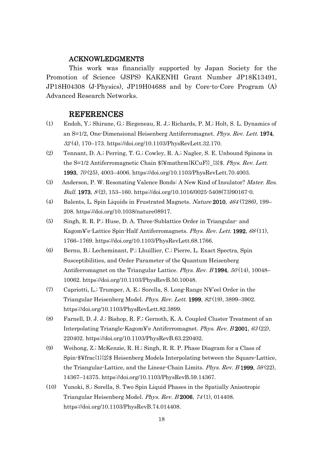## ACKNOWLEDGMENTS

This work was financially supported by Japan Society for the Promotion of Science (JSPS) KAKENHI Grant Number JP18K13491, JP18H04308 (J-Physics), JP19H04688 and by Core-to-Core Program (A) Advanced Research Networks.

## REFERENCES

- (1) Endoh, Y.; Shirane, G.; Birgeneau, R. J.; Richards, P. M.; Holt, S. L. Dynamics of an S=1/2, One-Dimensional Heisenberg Antiferromagnet. Phys. Rev. Lett. 1974, 32 (4), 170–173. https://doi.org/10.1103/PhysRevLett.32.170.
- (2) Tennant, D. A.; Perring, T. G.; Cowley, R. A.; Nagler, S. E. Unbound Spinons in the S=1/2 Antiferromagnetic Chain \${¥mathrm{KCuF}}\_{3}\$. Phys. Rev. Lett. 1993, 70 (25), 4003–4006. https://doi.org/10.1103/PhysRevLett.70.4003.
- (3) Anderson, P. W. Resonating Valence Bonds: A New Kind of Insulator? Mater. Res. Bull. 1973,  $8(2)$ , 153-160. https://doi.org/10.1016/0025-5408(73)90167-0.
- (4) Balents, L. Spin Liquids in Frustrated Magnets. Nature 2010, 464 (7286), 199– 208. https://doi.org/10.1038/nature08917.
- (5) Singh, R. R. P.; Huse, D. A. Three-Sublattice Order in Triangular- and Kagom¥'e-Lattice Spin-Half Antiferromagnets. Phys. Rev. Lett. 1992, <sup>68</sup> (11), 1766–1769. https://doi.org/10.1103/PhysRevLett.68.1766.
- (6) Bernu, B.; Lecheminant, P.; Lhuillier, C.; Pierre, L. Exact Spectra, Spin Susceptibilities, and Order Parameter of the Quantum Heisenberg Antiferromagnet on the Triangular Lattice. Phys. Rev.  $B$  1994,  $50(14)$ , 10048– 10062. https://doi.org/10.1103/PhysRevB.50.10048.
- (7) Capriotti, L.; Trumper, A. E.; Sorella, S. Long-Range N¥'eel Order in the Triangular Heisenberg Model. Phys. Rev. Lett. 1999, <sup>82</sup> (19), 3899–3902. https://doi.org/10.1103/PhysRevLett.82.3899.
- (8) Farnell, D. J. J.; Bishop, R. F.; Gernoth, K. A. Coupled Cluster Treatment of an Interpolating Triangle-Kagom¥'e Antiferromagnet. Phys. Rev. B 2001, 63 (22), 220402. https://doi.org/10.1103/PhysRevB.63.220402.
- (9) Weihong, Z.; McKenzie, R. H.; Singh, R. R. P. Phase Diagram for a Class of Spin-\$¥frac{1}{2}\$ Heisenberg Models Interpolating between the Square-Lattice, the Triangular-Lattice, and the Linear-Chain Limits. Phys. Rev.  $B$  1999,  $59(22)$ , 14367–14375. https://doi.org/10.1103/PhysRevB.59.14367.
- (10) Yunoki, S.; Sorella, S. Two Spin Liquid Phases in the Spatially Anisotropic Triangular Heisenberg Model. Phys. Rev. B 2006, <sup>74</sup> (1), 014408. https://doi.org/10.1103/PhysRevB.74.014408.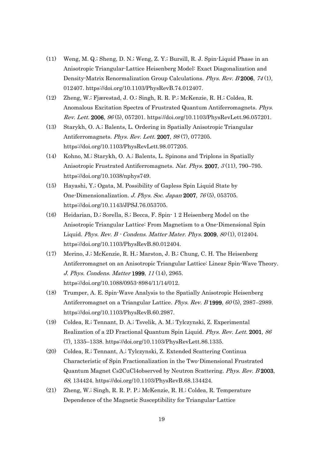- (11) Weng, M. Q.; Sheng, D. N.; Weng, Z. Y.; Bursill, R. J. Spin-Liquid Phase in an Anisotropic Triangular-Lattice Heisenberg Model: Exact Diagonalization and Density-Matrix Renormalization Group Calculations. Phys. Rev. B 2006, <sup>74</sup> (1), 012407. https://doi.org/10.1103/PhysRevB.74.012407.
- (12) Zheng, W.; Fjærestad, J. O.; Singh, R. R. P.; McKenzie, R. H.; Coldea, R. Anomalous Excitation Spectra of Frustrated Quantum Antiferromagnets. Phys. Rev. Lett. 2006, 96 (5), 057201. https://doi.org/10.1103/PhysRevLett.96.057201.
- (13) Starykh, O. A.; Balents, L. Ordering in Spatially Anisotropic Triangular Antiferromagnets. Phys. Rev. Lett. 2007, 98(7), 077205. https://doi.org/10.1103/PhysRevLett.98.077205.
- (14) Kohno, M.; Starykh, O. A.; Balents, L. Spinons and Triplons in Spatially Anisotropic Frustrated Antiferromagnets. Nat. Phys. 2007, <sup>3</sup> (11), 790–795. https://doi.org/10.1038/nphys749.
- (15) Hayashi, Y.; Ogata, M. Possibility of Gapless Spin Liquid State by One-Dimensionalization. J. Phys. Soc. Japan 2007, 76(5), 053705. https://doi.org/10.1143/JPSJ.76.053705.
- (16) Heidarian, D.; Sorella, S.; Becca, F. Spin- 1 2 Heisenberg Model on the Anisotropic Triangular Lattice: From Magnetism to a One-Dimensional Spin Liquid. Phys. Rev. B  $\cdot$  Condens. Matter Mater. Phys. 2009, 80(1), 012404. https://doi.org/10.1103/PhysRevB.80.012404.
- (17) Merino, J.; McKenzie, R. H.; Marston, J. B.; Chung, C. H. The Heisenberg Antiferromagnet on an Anisotropic Triangular Lattice: Linear Spin-Wave Theory. J. Phys. Condens. Matter 1999, <sup>11</sup> (14), 2965. https://doi.org/10.1088/0953-8984/11/14/012.
- (18) Trumper, A. E. Spin-Wave Analysis to the Spatially Anisotropic Heisenberg Antiferromagnet on a Triangular Lattice. *Phys. Rev. B* 1999, 60(5), 2987–2989. https://doi.org/10.1103/PhysRevB.60.2987.
- (19) Coldea, R.; Tennant, D. A.; Tsvelik, A. M.; Tylczynski, Z. Experimental Realization of a 2D Fractional Quantum Spin Liquid. Phys. Rev. Lett. 2001, <sup>86</sup> (7), 1335–1338. https://doi.org/10.1103/PhysRevLett.86.1335.
- (20) Coldea, R.; Tennant, A.; Tylczynski, Z. Extended Scattering Continua Characteristic of Spin Fractionalization in the Two-Dimensional Frustrated Quantum Magnet Cs2CuCl4observed by Neutron Scattering. Phys. Rev. B 2003, 68, 134424. https://doi.org/10.1103/PhysRevB.68.134424.
- (21) Zheng, W.; Singh, R. R. P. P.; McKenzie, R. H.; Coldea, R. Temperature Dependence of the Magnetic Susceptibility for Triangular-Lattice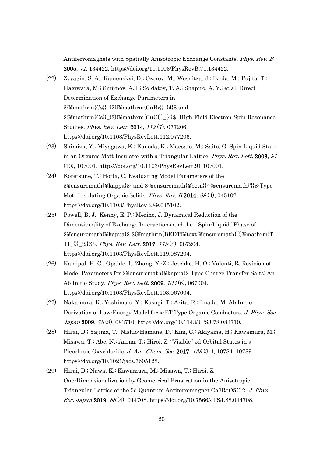Antiferromagnets with Spatially Anisotropic Exchange Constants. Phys. Rev. B 2005, 71, 134422. https://doi.org/10.1103/PhysRevB.71.134422.

- (22) Zvyagin, S. A.; Kamenskyi, D.; Ozerov, M.; Wosnitza, J.; Ikeda, M.; Fujita, T.; Hagiwara, M.; Smirnov, A. I.; Soldatov, T. A.; Shapiro, A. Y.; et al. Direct Determination of Exchange Parameters in  ${\{\text{Ymathrmf}(Cs)\}}_{2}$  {2}{\{\pi}{\pi}{\pi}}\_{1}\$ and \${¥mathrm{Cs}}\_{2}{¥mathrm{CuCl}}\_{4}\$: High-Field Electron-Spin-Resonance Studies. Phys. Rev. Lett. 2014, 112(7), 077206. https://doi.org/10.1103/PhysRevLett.112.077206.
- (23) Shimizu, Y.; Miyagawa, K.; Kanoda, K.; Maesato, M.; Saito, G. Spin Liquid State in an Organic Mott Insulator with a Triangular Lattice. Phys. Rev. Lett. 2003, <sup>91</sup> (10), 107001. https://doi.org/10.1103/PhysRevLett.91.107001.
- (24) Koretsune, T.; Hotta, C. Evaluating Model Parameters of the \$¥ensuremath{¥kappa}\$- and \${¥ensuremath{¥beta}}^{¥ensuremath{'}}\$-Type Mott Insulating Organic Solids. Phys. Rev. B 2014, <sup>89</sup> (4), 045102. https://doi.org/10.1103/PhysRevB.89.045102.
- (25) Powell, B. J.; Kenny, E. P.; Merino, J. Dynamical Reduction of the Dimensionality of Exchange Interactions and the ``Spin-Liquid'' Phase of \$¥ensuremath{¥kappa}\$-\$(¥mathrm{BEDT}¥text{¥ensuremath{-}}¥mathrm{T TF}{)}\_{2}X\$. Phys. Rev. Lett. 2017, <sup>119</sup> (8), 087204. https://doi.org/10.1103/PhysRevLett.119.087204.
- (26) Kandpal, H. C.; Opahle, I.; Zhang, Y.-Z.; Jeschke, H. O.; Valentí, R. Revision of Model Parameters for \$¥ensuremath{¥kappa}\$-Type Charge Transfer Salts: An Ab Initio Study. Phys. Rev. Lett. 2009, <sup>103</sup> (6), 067004. https://doi.org/10.1103/PhysRevLett.103.067004.
- (27) Nakamura, K.; Yoshimoto, Y.; Kosugi, T.; Arita, R.; Imada, M. Ab Initio Derivation of Low-Energy Model for κ-ET Type Organic Conductors. J. Phys. Soc. Japan 2009, <sup>78</sup> (8), 083710. https://doi.org/10.1143/JPSJ.78.083710.
- (28) Hirai, D.; Yajima, T.; Nishio-Hamane, D.; Kim, C.; Akiyama, H.; Kawamura, M.; Misawa, T.; Abe, N.; Arima, T.; Hiroi, Z. "Visible" 5d Orbital States in a Pleochroic Oxychloride. J. Am. Chem. Soc. 2017, 139 (31), 10784-10789. https://doi.org/10.1021/jacs.7b05128.
- (29) Hirai, D.; Nawa, K.; Kawamura, M.; Misawa, T.; Hiroi, Z. One-Dimensionalization by Geometrical Frustration in the Anisotropic Triangular Lattice of the 5d Quantum Antiferromagnet Ca3ReO5Cl2. J. Phys. Soc. Japan 2019, <sup>88</sup> (4), 044708. https://doi.org/10.7566/JPSJ.88.044708.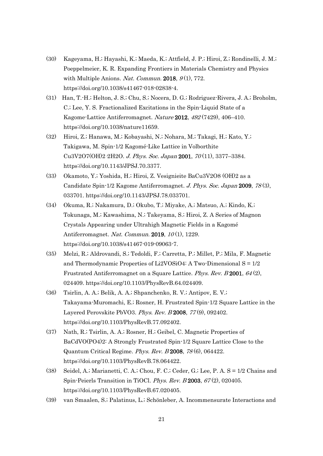- (30) Kageyama, H.; Hayashi, K.; Maeda, K.; Attfield, J. P.; Hiroi, Z.; Rondinelli, J. M.; Poeppelmeier, K. R. Expanding Frontiers in Materials Chemistry and Physics with Multiple Anions. Nat. Commun. 2018,  $9(1)$ , 772. https://doi.org/10.1038/s41467-018-02838-4.
- (31) Han, T.-H.; Helton, J. S.; Chu, S.; Nocera, D. G.; Rodriguez-Rivera, J. A.; Broholm, C.; Lee, Y. S. Fractionalized Excitations in the Spin-Liquid State of a Kagome-Lattice Antiferromagnet. Nature 2012, 492 (7429), 406–410. https://doi.org/10.1038/nature11659.
- (32) Hiroi, Z.; Hanawa, M.; Kobayashi, N.; Nohara, M.; Takagi, H.; Kato, Y.; Takigawa, M. Spin-1/2 Kagomé-Like Lattice in Volborthite Cu3V2O7(OH)2·2H2O. J. Phys. Soc. Japan 2001, 70 (11), 3377-3384. https://doi.org/10.1143/JPSJ.70.3377.
- (33) Okamoto, Y.; Yoshida, H.; Hiroi, Z. Vesignieite BaCu3V2O8 (OH)2 as a Candidate Spin-1/2 Kagome Antiferromagnet. J. Phys. Soc. Japan 2009, <sup>78</sup> (3), 033701. https://doi.org/10.1143/JPSJ.78.033701.
- (34) Okuma, R.; Nakamura, D.; Okubo, T.; Miyake, A.; Matsuo, A.; Kindo, K.; Tokunaga, M.; Kawashima, N.; Takeyama, S.; Hiroi, Z. A Series of Magnon Crystals Appearing under Ultrahigh Magnetic Fields in a Kagomé Antiferromagnet. Nat. Commun. 2019, 10 (1), 1229. https://doi.org/10.1038/s41467-019-09063-7.
- (35) Melzi, R.; Aldrovandi, S.; Tedoldi, F.; Carretta, P.; Millet, P.; Mila, F. Magnetic and Thermodynamic Properties of Li2VOSiO4: A Two-Dimensional  $S = 1/2$ Frustrated Antiferromagnet on a Square Lattice. Phys. Rev. B 2001, <sup>64</sup> (2), 024409. https://doi.org/10.1103/PhysRevB.64.024409.
- (36) Tsirlin, A. A.; Belik, A. A.; Shpanchenko, R. V.; Antipov, E. V.; Takayama-Muromachi, E.; Rosner, H. Frustrated Spin-1/2 Square Lattice in the Layered Perovskite PbVO3. Phys. Rev. B 2008, <sup>77</sup> (9), 092402. https://doi.org/10.1103/PhysRevB.77.092402.
- (37) Nath, R.; Tsirlin, A. A.; Rosner, H.; Geibel, C. Magnetic Properties of BaCdVO(PO4)2: A Strongly Frustrated Spin-1/2 Square Lattice Close to the Quantum Critical Regime. Phys. Rev. B 2008, <sup>78</sup> (6), 064422. https://doi.org/10.1103/PhysRevB.78.064422.
- (38) Seidel, A.; Marianetti, C. A.; Chou, F. C.; Ceder, G.; Lee, P. A. S = 1/2 Chains and Spin-Peierls Transition in TiOCl. Phys. Rev. B 2003, 67(2), 020405. https://doi.org/10.1103/PhysRevB.67.020405.
- (39) van Smaalen, S.; Palatinus, L.; Schönleber, A. Incommensurate Interactions and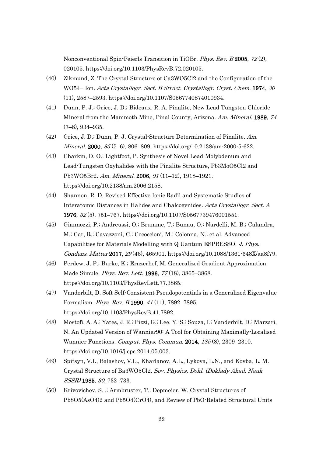Nonconventional Spin-Peierls Transition in TiOBr. Phys. Rev. B 2005, <sup>72</sup> (2), 020105. https://doi.org/10.1103/PhysRevB.72.020105.

- (40) Zikmund, Z. The Crystal Structure of Ca3WO5Cl2 and the Configuration of the WO54− Ion. Acta Crystallogr. Sect. B Struct. Crystallogr. Cryst. Chem. 1974, <sup>30</sup> (11), 2587–2593. https://doi.org/10.1107/S0567740874010934.
- (41) Dunn, P. J.; Grice, J. D.; Bideaux, R. A. Pinalite, New Lead Tungsten Chloride Mineral from the Mammoth Mine, Pinal County, Arizona. Am. Mineral. 1989, 74 (7–8), 934–935.
- (42) Grice, J. D.; Dunn, P. J. Crystal-Structure Determination of Pinalite. Am. Mineral. 2000, 85 (5–6), 806–809. https://doi.org/10.2138/am-2000-5-622.
- (43) Charkin, D. O.; Lightfoot, P. Synthesis of Novel Lead-Molybdenum and Lead-Tungsten Oxyhalides with the Pinalite Structure, Pb3MoO5Cl2 and Pb3WO5Br2. Am. Mineral. 2006, 91 (11–12), 1918–1921. https://doi.org/10.2138/am.2006.2158.
- (44) Shannon, R. D. Revised Effective Ionic Radii and Systematic Studies of Interatomic Distances in Halides and Chalcogenides. Acta Crystallogr. Sect. A 1976, 32 (5), 751–767. https://doi.org/10.1107/S0567739476001551.
- (45) Giannozzi, P.; Andreussi, O.; Brumme, T.; Bunau, O.; Nardelli, M. B.; Calandra, M.; Car, R.; Cavazzoni, C.; Cococcioni, M.; Colonna, N.; et al. Advanced Capabilities for Materials Modelling with Q Uantum ESPRESSO. J. Phys. Condens. Matter 2017, 29 (46), 465901. https://doi.org/10.1088/1361-648X/aa8f79.
- (46) Perdew, J. P.; Burke, K.; Ernzerhof, M. Generalized Gradient Approximation Made Simple. *Phys. Rev. Lett.* **1996**, 77(18), 3865–3868. https://doi.org/10.1103/PhysRevLett.77.3865.
- (47) Vanderbilt, D. Soft Self-Consistent Pseudopotentials in a Generalized Eigenvalue Formalism. *Phys. Rev. B* 1990, 41 (11), 7892-7895. https://doi.org/10.1103/PhysRevB.41.7892.
- (48) Mostofi, A. A.; Yates, J. R.; Pizzi, G.; Lee, Y.-S.; Souza, I.; Vanderbilt, D.; Marzari, N. An Updated Version of Wannier90: A Tool for Obtaining Maximally-Localised Wannier Functions. Comput. Phys. Commun. 2014, <sup>185</sup> (8), 2309–2310. https://doi.org/10.1016/j.cpc.2014.05.003.
- (49) Spitsyn, V.I., Balashov, V.L., Kharlanov, A.L., Lykova, L.N., and Kovba, L. M. Crystal Structure of Ba3WO5Cl2. Sov. Physics, Dokl. (Doklady Akad. Nauk SSSR) 1985, 30, 732–733.
- (50) Krivovichev, S. .; Armbruster, T.; Depmeier, W. Crystal Structures of Pb8O5(AsO4)2 and Pb5O4(CrO4), and Review of PbO-Related Structural Units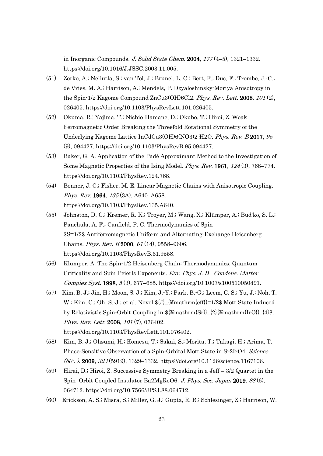in Inorganic Compounds. J. Solid State Chem. 2004, 177 (4–5), 1321–1332. https://doi.org/10.1016/J.JSSC.2003.11.005.

- (51) Zorko, A.; Nellutla, S.; van Tol, J.; Brunel, L. C.; Bert, F.; Duc, F.; Trombe, J.-C.; de Vries, M. A.; Harrison, A.; Mendels, P. Dzyaloshinsky-Moriya Anisotropy in the Spin-1/2 Kagome Compound ZnCu3(OH)6Cl2. Phys. Rev. Lett. 2008, <sup>101</sup> (2), 026405. https://doi.org/10.1103/PhysRevLett.101.026405.
- (52) Okuma, R.; Yajima, T.; Nishio-Hamane, D.; Okubo, T.; Hiroi, Z. Weak Ferromagnetic Order Breaking the Threefold Rotational Symmetry of the Underlying Kagome Lattice InCdCu3(OH)6(NO3)2·H2O. Phys. Rev. B 2017, <sup>95</sup> (9), 094427. https://doi.org/10.1103/PhysRevB.95.094427.
- (53) Baker, G. A. Application of the Padé Approximant Method to the Investigation of Some Magnetic Properties of the Ising Model. Phys. Rev. 1961, <sup>124</sup> (3), 768–774. https://doi.org/10.1103/PhysRev.124.768.
- (54) Bonner, J. C.; Fisher, M. E. Linear Magnetic Chains with Anisotropic Coupling. Phys. Rev. 1964, 135 (3A), A640-A658. https://doi.org/10.1103/PhysRev.135.A640.
- (55) Johnston, D. C.; Kremer, R. K.; Troyer, M.; Wang, X.; Klümper, A.; Bud'ko, S. L.; Panchula, A. F.; Canfield, P. C. Thermodynamics of Spin \$S=1/2\$ Antiferromagnetic Uniform and Alternating-Exchange Heisenberg Chains. Phys. Rev. B 2000, <sup>61</sup> (14), 9558–9606. https://doi.org/10.1103/PhysRevB.61.9558.
- (56) Klümper, A. The Spin-1/2 Heisenberg Chain: Thermodynamics, Quantum Criticality and Spin-Peierls Exponents. Eur. Phys. J. B - Condens. Matter Complex Syst. 1998, <sup>5</sup> (3), 677–685. https://doi.org/10.1007/s100510050491.
- (57) Kim, B. J.; Jin, H.; Moon, S. J.; Kim, J.-Y.; Park, B.-G.; Leem, C. S.; Yu, J.; Noh, T. W.; Kim, C.; Oh, S.-J.; et al. Novel  $\{J\}_{\mathcal{I}}\$  mathrm{eff}}=1/2\$ Mott State Induced by Relativistic Spin-Orbit Coupling in \${¥mathrm{Sr}}\_{2}{¥mathrm{IrO}}\_{4}\$. Phys. Rev. Lett. 2008, 101(7), 076402. https://doi.org/10.1103/PhysRevLett.101.076402.
- (58) Kim, B. J.; Ohsumi, H.; Komesu, T.; Sakai, S.; Morita, T.; Takagi, H.; Arima, T. Phase-Sensitive Observation of a Spin-Orbital Mott State in Sr2IrO4. Science (80-. ). 2009, <sup>323</sup> (5919), 1329–1332. https://doi.org/10.1126/science.1167106.
- (59) Hirai, D.; Hiroi, Z. Successive Symmetry Breaking in a Jeff = 3/2 Quartet in the Spin–Orbit Coupled Insulator Ba2MgReO6. J. Phys. Soc. Japan 2019, <sup>88</sup> (6), 064712. https://doi.org/10.7566/JPSJ.88.064712.
- (60) Erickson, A. S.; Misra, S.; Miller, G. J.; Gupta, R. R.; Schlesinger, Z.; Harrison, W.